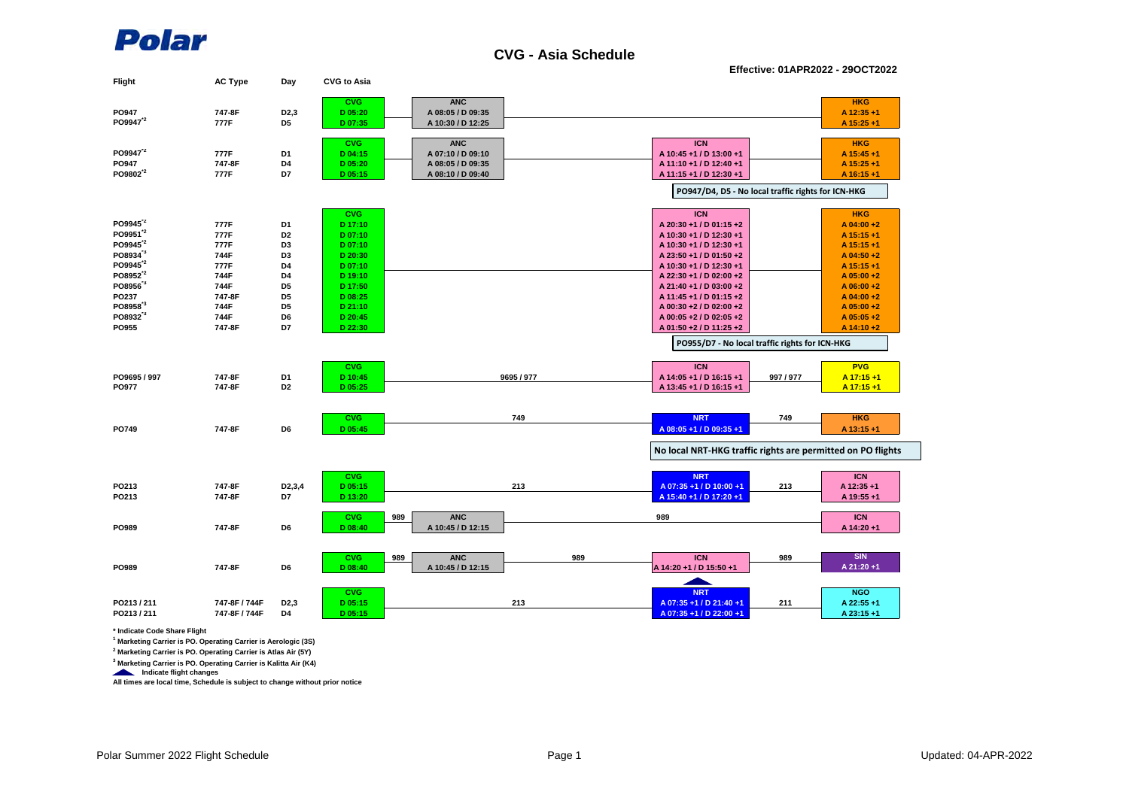

**CVG - Asia Schedule**

**Effective: 01APR2022 - 29OCT2022**

| Flight               | <b>AC Type</b> | Day                 | <b>CVG to Asia</b> |                   |            |                                                             |         |              |
|----------------------|----------------|---------------------|--------------------|-------------------|------------|-------------------------------------------------------------|---------|--------------|
|                      |                |                     | <b>CVG</b>         | <b>ANC</b>        |            |                                                             |         | <b>HKG</b>   |
| PO947                | 747-8F         | D <sub>2</sub> ,3   | D 05:20            | A 08:05 / D 09:35 |            |                                                             |         | A 12:35 +1   |
| PO9947 <sup>2</sup>  | 777F           | D <sub>5</sub>      | D 07:35            | A 10:30 / D 12:25 |            |                                                             |         | A 15:25 +1   |
|                      |                |                     | <b>CVG</b>         | <b>ANC</b>        |            | <b>ICN</b>                                                  |         | <b>HKG</b>   |
| PO9947 <sup>2</sup>  | 777F           | D <sub>1</sub>      | D.04:15            | A 07:10 / D 09:10 |            | A 10:45 +1 / D 13:00 +1                                     |         | A 15:45 +1   |
| PO947                | 747-8F         | D4                  | D 05:20            | A 08:05 / D 09:35 |            | A 11:10 +1 / D 12:40 +1                                     |         | A 15:25 +1   |
| PO9802 <sup>*2</sup> | 777F           | D7                  | D 05:15            | A 08:10 / D 09:40 |            | A 11:15 +1 / D 12:30 +1                                     |         | A 16:15 +1   |
|                      |                |                     |                    |                   |            | PO947/D4, D5 - No local traffic rights for ICN-HKG          |         |              |
|                      |                |                     |                    |                   |            |                                                             |         |              |
|                      |                |                     | <b>CVG</b>         |                   |            | <b>ICN</b>                                                  |         | <b>HKG</b>   |
| PO9945 <sup>"2</sup> | 777F           | D <sub>1</sub>      | D 17:10            |                   |            | A 20:30 +1 / D 01:15 +2                                     |         | $A$ 04:00 +2 |
| PO9951 <sup>12</sup> | 777F           | D <sub>2</sub>      | D 07:10            |                   |            | A 10:30 +1 / D 12:30 +1                                     |         | A 15:15 +1   |
| PO9945 <sup>"2</sup> | 777F           | D <sub>3</sub>      | D 07:10            |                   |            | A 10:30 +1 / D 12:30 +1                                     |         | A 15:15 +1   |
| PO8934 <sup>3</sup>  | 744F           | D <sub>3</sub>      | D 20:30            |                   |            | A 23:50 +1 / D 01:50 +2                                     |         | $A$ 04:50 +2 |
| PO9945 <sup>"2</sup> | 777F           | D4                  | D 07:10            |                   |            | A 10:30 +1 / D 12:30 +1                                     |         | A 15:15 +1   |
| PO8952 <sup>2</sup>  | 744F           | D4                  | D 19:10            |                   |            | A 22:30 +1 / D 02:00 +2                                     |         | $A$ 05:00 +2 |
| PO8956 <sup>3</sup>  | 744F           | D <sub>5</sub>      | D 17:50            |                   |            | A 21:40 +1 / D 03:00 +2                                     |         | $A$ 06:00 +2 |
| PO237                | 747-8F         | D <sub>5</sub>      | D 08:25            |                   |            | A 11:45 +1 / D 01:15 +2                                     |         | $A$ 04:00 +2 |
| PO8958 <sup>3</sup>  | 744F           | D <sub>5</sub>      | D 21:10            |                   |            | A 00:30 +2 / D 02:00 +2                                     |         | $A$ 05:00 +2 |
| PO8932 <sup>'3</sup> | 744F           | D6                  | D 20:45            |                   |            | A 00:05 +2 / D 02:05 +2                                     |         | $A$ 05:05 +2 |
| PO955                | 747-8F         | D7                  | D 22:30            |                   |            | A 01:50 +2 / D 11:25 +2                                     |         | $A$ 14:10 +2 |
|                      |                |                     |                    |                   |            |                                                             |         |              |
|                      |                |                     |                    |                   |            | PO955/D7 - No local traffic rights for ICN-HKG              |         |              |
|                      |                |                     | <b>CVG</b>         |                   |            | <b>ICN</b>                                                  |         | <b>PVG</b>   |
| PO9695 / 997         | 747-8F         | D <sub>1</sub>      | D 10:45            |                   | 9695 / 977 | A 14:05 +1 / D 16:15 +1                                     | 997/977 | A 17:15 +1   |
| PO977                | 747-8F         | D <sub>2</sub>      | D 05:25            |                   |            | A 13:45 +1 / D 16:15 +1                                     |         | A 17:15+1    |
|                      |                |                     |                    |                   |            |                                                             |         |              |
|                      |                |                     | <b>CVG</b>         |                   | 749        | <b>NRT</b>                                                  | 749     | <b>HKG</b>   |
| PO749                | 747-8F         | D6                  | D 05:45            |                   |            | A 08:05 +1 / D 09:35 +1                                     |         | A 13:15 +1   |
|                      |                |                     |                    |                   |            |                                                             |         |              |
|                      |                |                     |                    |                   |            | No local NRT-HKG traffic rights are permitted on PO flights |         |              |
|                      |                |                     |                    |                   |            |                                                             |         |              |
|                      |                |                     | <b>CVG</b>         |                   |            | <b>NRT</b>                                                  |         | <b>ICN</b>   |
| PO213                | 747-8F         | D <sub>2</sub> ,3,4 | D 05:15            |                   | 213        | A 07:35 +1 / D 10:00 +1                                     | 213     | A 12:35 +1   |
| PO213                | 747-8F         | D7                  | D 13:20            |                   |            | A 15:40 +1 / D 17:20 +1                                     |         | A 19:55 +1   |
|                      |                |                     | <b>CVG</b>         | <b>ANC</b><br>989 |            | 989                                                         |         | <b>ICN</b>   |
| PO989                | 747-8F         | D6                  | D 08:40            | A 10:45 / D 12:15 |            |                                                             |         | A 14:20 +1   |
|                      |                |                     |                    |                   |            |                                                             |         |              |
|                      |                |                     | <b>CVG</b>         | <b>ANC</b><br>989 | 989        | <b>ICN</b>                                                  | 989     | <b>SIN</b>   |
| PO989                | 747-8F         | D6                  | $D$ 08:40          | A 10:45 / D 12:15 |            | A 14:20 +1 / D 15:50 +1                                     |         | A 21:20 +1   |
|                      |                |                     |                    |                   |            |                                                             |         |              |
|                      |                |                     | <b>CVG</b>         |                   |            | <b>NRT</b>                                                  |         | <b>NGO</b>   |
| PO213/211            | 747-8F / 744F  | D <sub>2</sub> ,3   | D 05:15            |                   | 213        | A 07:35 +1 / D 21:40 +1                                     | 211     | A 22:55 +1   |
| PO213/211            | 747-8F / 744F  | D4                  | D 05:15            |                   |            | A 07:35 +1 / D 22:00 +1                                     |         | A 23:15 +1   |
|                      |                |                     |                    |                   |            |                                                             |         |              |
|                      |                |                     |                    |                   |            |                                                             |         |              |

**\* Indicate Code Share Flight**

**1 Marketing Carrier is PO. Operating Carrier is Aerologic (3S)**

**2 Marketing Carrier is PO. Operating Carrier is Atlas Air (5Y)**

**3 Marketing Carrier is PO. Operating Carrier is Kalitta Air (K4)**

 **Indicate flight changes All times are local time, Schedule is subject to change without prior notice**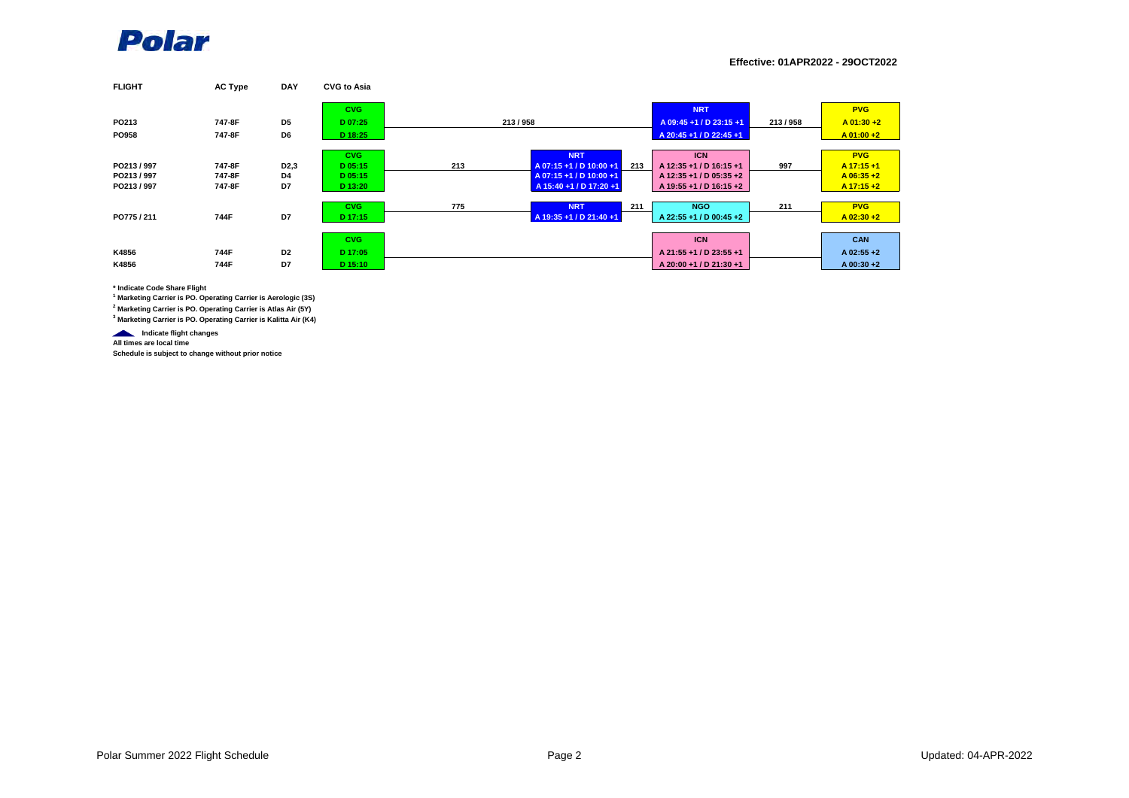

**Effective: 01APR2022 - 29OCT2022**

| <b>FLIGHT</b> | <b>AC Type</b> | <b>DAY</b>        | <b>CVG to Asia</b> |     |                         |     |                         |         |              |
|---------------|----------------|-------------------|--------------------|-----|-------------------------|-----|-------------------------|---------|--------------|
|               |                |                   | <b>CVG</b>         |     |                         |     | <b>NRT</b>              |         | <b>PVG</b>   |
| PO213         | 747-8F         | D <sub>5</sub>    | D 07:25            |     | 213/958                 |     | A 09:45 +1 / D 23:15 +1 | 213/958 | $A$ 01:30 +2 |
| <b>PO958</b>  | 747-8F         | D6                | D 18:25            |     |                         |     | A 20:45 +1 / D 22:45 +1 |         | $A$ 01:00 +2 |
|               |                |                   | <b>CVG</b>         |     | <b>NRT</b>              |     | <b>ICN</b>              |         | <b>PVG</b>   |
| PO213/997     | 747-8F         | D <sub>2</sub> ,3 | D 05:15            | 213 | A 07:15 +1 / D 10:00 +1 | 213 | A 12:35 +1 / D 16:15 +1 | 997     | $A$ 17:15 +1 |
| PO213/997     | 747-8F         | D4                | D 05:15            |     | A 07:15+1 / D 10:00+1   |     | A 12:35 +1 / D 05:35 +2 |         | $A$ 06:35 +2 |
| PO213/997     | 747-8F         | D7                | D 13:20            |     | A 15:40 +1 / D 17:20 +1 |     | A 19:55 +1 / D 16:15 +2 |         | $A$ 17:15 +2 |
|               |                |                   | <b>CVG</b>         | 775 | <b>NRT</b>              | 211 | <b>NGO</b>              | 211     | <b>PVG</b>   |
| PO775/211     | 744F           | D7                | D 17:15            |     | A 19:35 +1 / D 21:40 +1 |     | A 22:55 +1 / D 00:45 +2 |         | $A$ 02:30 +2 |
|               |                |                   |                    |     |                         |     |                         |         |              |
|               |                |                   | <b>CVG</b>         |     |                         |     | <b>ICN</b>              |         | <b>CAN</b>   |
| K4856         | 744F           | D <sub>2</sub>    | D 17:05            |     |                         |     | A 21:55 +1 / D 23:55 +1 |         | $A$ 02:55 +2 |
| K4856         | 744F           | D7                | D 15:10            |     |                         |     | A 20:00 +1 / D 21:30 +1 |         | $A$ 00:30 +2 |

**\* Indicate Code Share Flight**

**1 Marketing Carrier is PO. Operating Carrier is Aerologic (3S)**

**2 Marketing Carrier is PO. Operating Carrier is Atlas Air (5Y)**

**3 Marketing Carrier is PO. Operating Carrier is Kalitta Air (K4)**

 **Indicate flight changes All times are local time**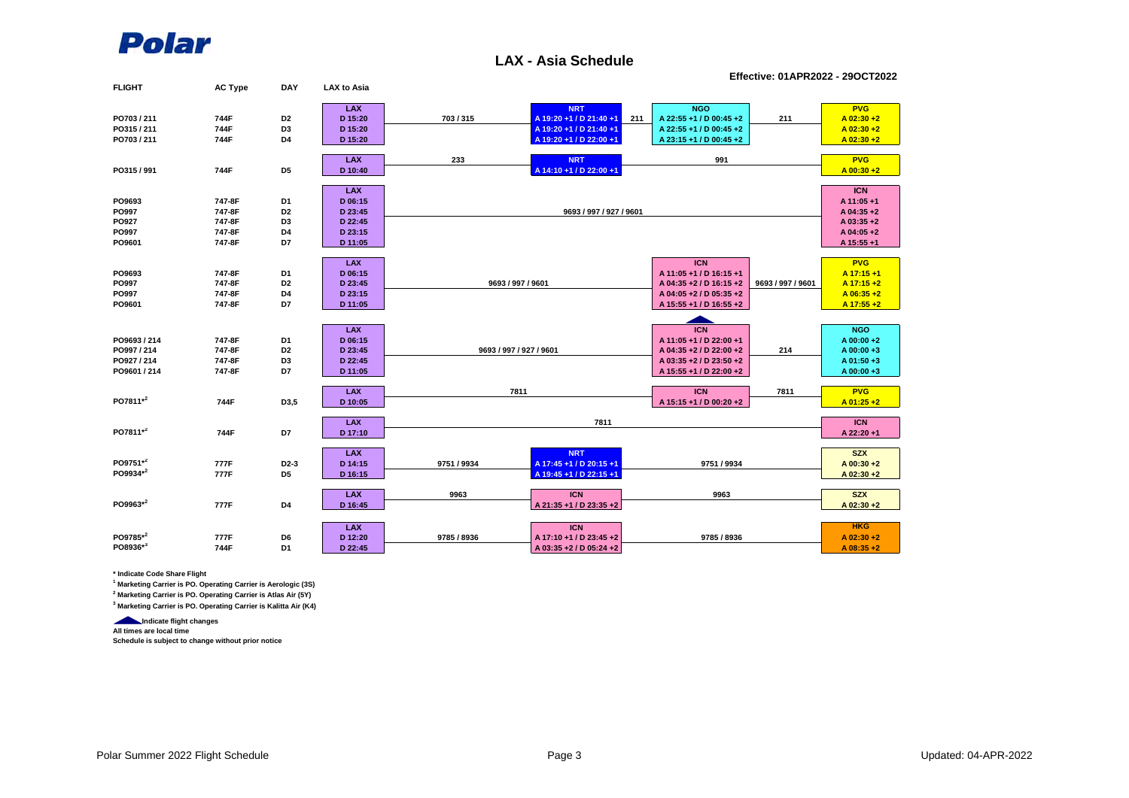

## **LAX - Asia Schedule**

**Effective: 01APR2022 - 29OCT2022**

| <b>FLIGHT</b> | <b>AC Type</b> | <b>DAY</b>        | <b>LAX to Asia</b> |                         |                                |                           |                   |              |
|---------------|----------------|-------------------|--------------------|-------------------------|--------------------------------|---------------------------|-------------------|--------------|
|               |                |                   | <b>LAX</b>         |                         | <b>NRT</b>                     | <b>NGO</b>                |                   | <b>PVG</b>   |
| PO703 / 211   | 744F           | D <sub>2</sub>    | D 15:20            | 703/315                 | A 19:20 +1 / D 21:40 +1<br>211 | A 22:55 +1 / D 00:45 +2   | 211               | $A$ 02:30 +2 |
| PO315/211     | 744F           | D3                | D 15:20            |                         | A 19:20 +1 / D 21:40 +1        | A 22:55 +1 / D 00:45 +2   |                   | $A$ 02:30 +2 |
| PO703/211     | 744F           | D <sub>4</sub>    | D 15:20            |                         | A 19:20 +1 / D 22:00 +1        | A 23:15 +1 / D 00:45 +2   |                   | $A$ 02:30 +2 |
|               |                |                   |                    |                         |                                |                           |                   |              |
|               |                |                   | <b>LAX</b>         | 233                     | <b>NRT</b>                     | 991                       |                   | <b>PVG</b>   |
| PO315/991     | 744F           | D <sub>5</sub>    | D 10:40            |                         | A 14:10 +1 / D 22:00 +1        |                           |                   | $A$ 00:30 +2 |
|               |                |                   |                    |                         |                                |                           |                   |              |
|               |                |                   | <b>LAX</b>         |                         |                                |                           |                   | <b>ICN</b>   |
| PO9693        | 747-8F         | D1                | D 06:15            |                         |                                |                           |                   | A 11:05 +1   |
| PO997         | 747-8F         | D <sub>2</sub>    | D 23:45            |                         | 9693 / 997 / 927 / 9601        |                           |                   | A 04:35+2    |
| <b>PO927</b>  | 747-8F         | D3                | D 22:45            |                         |                                |                           |                   | A 03:35 +2   |
| PO997         | 747-8F         | D4                | D 23:15            |                         |                                |                           |                   | A 04:05+2    |
| PO9601        | 747-8F         | D7                | D 11:05            |                         |                                |                           |                   | A 15:55 +1   |
|               |                |                   |                    |                         |                                |                           |                   |              |
|               |                |                   | <b>LAX</b>         |                         |                                | <b>ICN</b>                |                   | <b>PVG</b>   |
| PO9693        | 747-8F         | D <sub>1</sub>    | D 06:15            |                         |                                | A 11:05 +1 / D 16:15 +1   |                   | A 17:15+1    |
| PO997         | 747-8F         | D <sub>2</sub>    | D 23:45            | 9693 / 997 / 9601       |                                | A 04:35 +2 / D 16:15 +2   | 9693 / 997 / 9601 | A 17:15 +2   |
| PO997         | 747-8F         | D4                | D 23:15            |                         |                                | A 04:05 + 2 / D 05:35 + 2 |                   | $A$ 06:35 +2 |
| PO9601        | 747-8F         | D7                | D 11:05            |                         |                                | A 15:55 +1 / D 16:55 +2   |                   | A 17:55 +2   |
|               |                |                   |                    |                         |                                |                           |                   |              |
|               |                |                   | <b>LAX</b>         |                         |                                | <b>ICN</b>                |                   | <b>NGO</b>   |
| PO9693 / 214  | 747-8F         | D <sub>1</sub>    | D 06:15            |                         |                                | A 11:05 +1 / D 22:00 +1   |                   | A 00:00 +2   |
| PO997 / 214   | 747-8F         | D <sub>2</sub>    | D 23:45            | 9693 / 997 / 927 / 9601 |                                | A 04:35 +2 / D 22:00 +2   | 214               | A 00:00+3    |
| PO927 / 214   | 747-8F         | D <sub>3</sub>    | D 22:45            |                         |                                | A 03:35 +2 / D 23:50 +2   |                   | A 01:50 +3   |
| PO9601 / 214  | 747-8F         | D7                | D 11:05            | A 15:55 +1 / D 22:00 +2 |                                |                           |                   | $A$ 00:00 +3 |
|               |                |                   |                    |                         |                                |                           |                   |              |
|               |                |                   | <b>LAX</b>         | 7811                    |                                | <b>ICN</b>                | 7811              | <b>PVG</b>   |
| PO7811*2      | 744F           | D3,5              | D 10:05            |                         |                                | A 15:15 +1 / D 00:20 +2   |                   | $A$ 01:25 +2 |
|               |                |                   |                    |                         |                                |                           |                   |              |
| PO7811*2      |                | D7                | <b>LAX</b>         |                         | 7811                           |                           |                   | <b>ICN</b>   |
|               | 744F           |                   | D 17:10            |                         |                                |                           |                   | A 22:20 +1   |
|               |                |                   | <b>LAX</b>         |                         | <b>NRT</b>                     |                           |                   | <b>SZX</b>   |
| PO9751*2      | 777F           | D <sub>2</sub> -3 | D 14:15            | 9751 / 9934             | A 17:45 +1 / D 20:15 +1        | 9751 / 9934               |                   | A 00:30 +2   |
| PO9934*2      | 777F           | D <sub>5</sub>    | D 16:15            |                         | A 19:45 +1 / D 22:15 +1        |                           |                   | A 02:30 +2   |
|               |                |                   |                    |                         |                                |                           |                   |              |
|               |                |                   | <b>LAX</b>         | 9963                    | <b>ICN</b>                     | 9963                      |                   | <b>SZX</b>   |
| PO9963*2      | 777F           | D <sub>4</sub>    | D 16:45            |                         | A 21:35 +1 / D 23:35 +2        |                           |                   | A 02:30 +2   |
|               |                |                   |                    |                         |                                |                           |                   |              |
|               |                |                   | <b>LAX</b>         |                         | <b>ICN</b>                     |                           |                   | <b>HKG</b>   |
| PO9785*2      | 777F           | D6                | D 12:20            | 9785 / 8936             | A 17:10 +1 / D 23:45 +2        | 9785 / 8936               |                   | $A$ 02:30 +2 |
| PO8936*3      | 744F           | D <sub>1</sub>    | D 22:45            |                         | A 03:35 +2 / D 05:24 +2        |                           |                   | $A$ 08:35 +2 |
|               |                |                   |                    |                         |                                |                           |                   |              |

**\* Indicate Code Share Flight**

**1 Marketing Carrier is PO. Operating Carrier is Aerologic (3S)**

**2 Marketing Carrier is PO. Operating Carrier is Atlas Air (5Y)**

**3 Marketing Carrier is PO. Operating Carrier is Kalitta Air (K4)**

**Indicate flight changes** 

**All times are local time**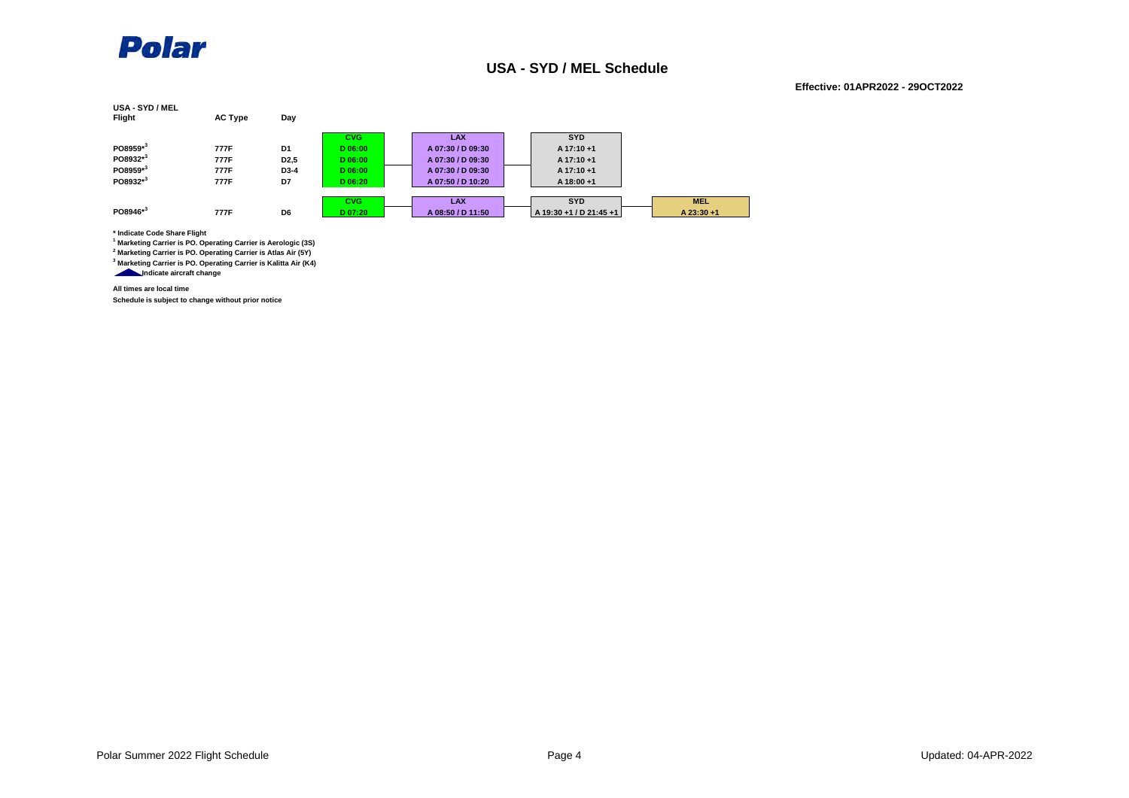

# **USA - SYD / MEL Schedule**

#### **Effective: 01APR2022 - 29OCT2022**

| USA - SYD / MEL<br><b>Flight</b> | <b>AC Type</b> | Day               |            |                   |                         |              |
|----------------------------------|----------------|-------------------|------------|-------------------|-------------------------|--------------|
|                                  |                |                   | <b>CVG</b> | <b>LAX</b>        | <b>SYD</b>              |              |
| PO8959*3                         | 777F           | D1                | D 06:00    | A 07:30 / D 09:30 | A 17:10+1               |              |
| PO8932*3                         | 777F           | D <sub>2</sub> ,5 | D 06:00    | A 07:30 / D 09:30 | A 17:10+1               |              |
| PO8959*3                         | 777F           | D3-4              | D 06:00    | A 07:30 / D 09:30 | $A$ 17:10 +1            |              |
| PO8932*3                         | 777F           | D7                | D 06:20    | A 07:50 / D 10:20 | A 18:00 +1              |              |
|                                  |                |                   | <b>CVG</b> | <b>LAX</b>        | <b>SYD</b>              | <b>MEL</b>   |
| PO8946*3                         | 777F           | D6                | D 07:20    | A 08:50 / D 11:50 | A 19:30 +1 / D 21:45 +1 | $A$ 23:30 +1 |

**\* Indicate Code Share Flight**

**1 Marketing Carrier is PO. Operating Carrier is Aerologic (3S)**

**2 Marketing Carrier is PO. Operating Carrier is Atlas Air (5Y)**

**3 Marketing Carrier is PO. Operating Carrier is Kalitta Air (K4) Indicate aircraft change**

**All times are local time**